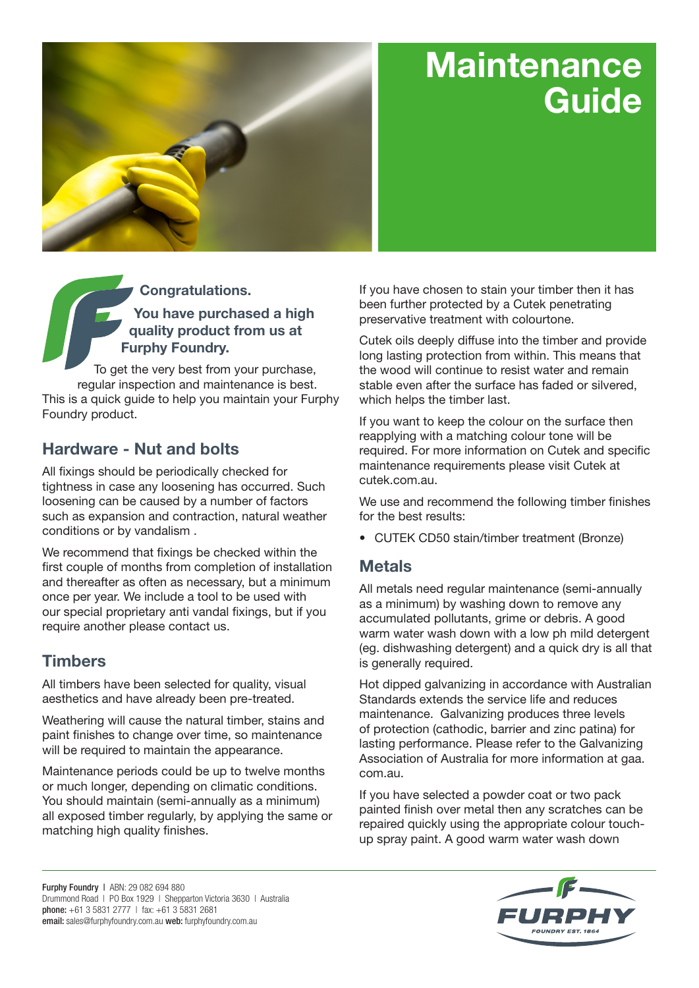# **Maintenance Guide**



**Congratulations. You have purchased a high quality product from us at Furphy Foundry.**

To get the very best from your purchase, regular inspection and maintenance is best. This is a quick guide to help you maintain your Furphy Foundry product.

### **Hardware - Nut and bolts**

All fixings should be periodically checked for tightness in case any loosening has occurred. Such loosening can be caused by a number of factors such as expansion and contraction, natural weather conditions or by vandalism .

We recommend that fixings be checked within the first couple of months from completion of installation and thereafter as often as necessary, but a minimum once per year. We include a tool to be used with our special proprietary anti vandal fixings, but if you require another please contact us.

### **Timbers**

All timbers have been selected for quality, visual aesthetics and have already been pre-treated.

Weathering will cause the natural timber, stains and paint finishes to change over time, so maintenance will be required to maintain the appearance.

Maintenance periods could be up to twelve months or much longer, depending on climatic conditions. You should maintain (semi-annually as a minimum) all exposed timber regularly, by applying the same or matching high quality finishes.

If you have chosen to stain your timber then it has been further protected by a Cutek penetrating preservative treatment with colourtone.

Cutek oils deeply diffuse into the timber and provide long lasting protection from within. This means that the wood will continue to resist water and remain stable even after the surface has faded or silvered, which helps the timber last.

If you want to keep the colour on the surface then reapplying with a matching colour tone will be required. For more information on Cutek and specific maintenance requirements please visit Cutek at cutek.com.au.

We use and recommend the following timber finishes for the best results:

• CUTEK CD50 stain/timber treatment (Bronze)

### **Metals**

All metals need regular maintenance (semi-annually as a minimum) by washing down to remove any accumulated pollutants, grime or debris. A good warm water wash down with a low ph mild detergent (eg. dishwashing detergent) and a quick dry is all that is generally required.

Hot dipped galvanizing in accordance with Australian Standards extends the service life and reduces maintenance. Galvanizing produces three levels of protection (cathodic, barrier and zinc patina) for lasting performance. Please refer to the Galvanizing Association of Australia for more information at gaa. com.au.

If you have selected a powder coat or two pack painted finish over metal then any scratches can be repaired quickly using the appropriate colour touchup spray paint. A good warm water wash down

Furphy Foundry | ABN: 29 082 694 880 Drummond Road | PO Box 1929 | Shepparton Victoria 3630 | Australia phone: +61 3 5831 2777 | fax: +61 3 5831 2681 email: sales@furphyfoundry.com.au web: furphyfoundry.com.au